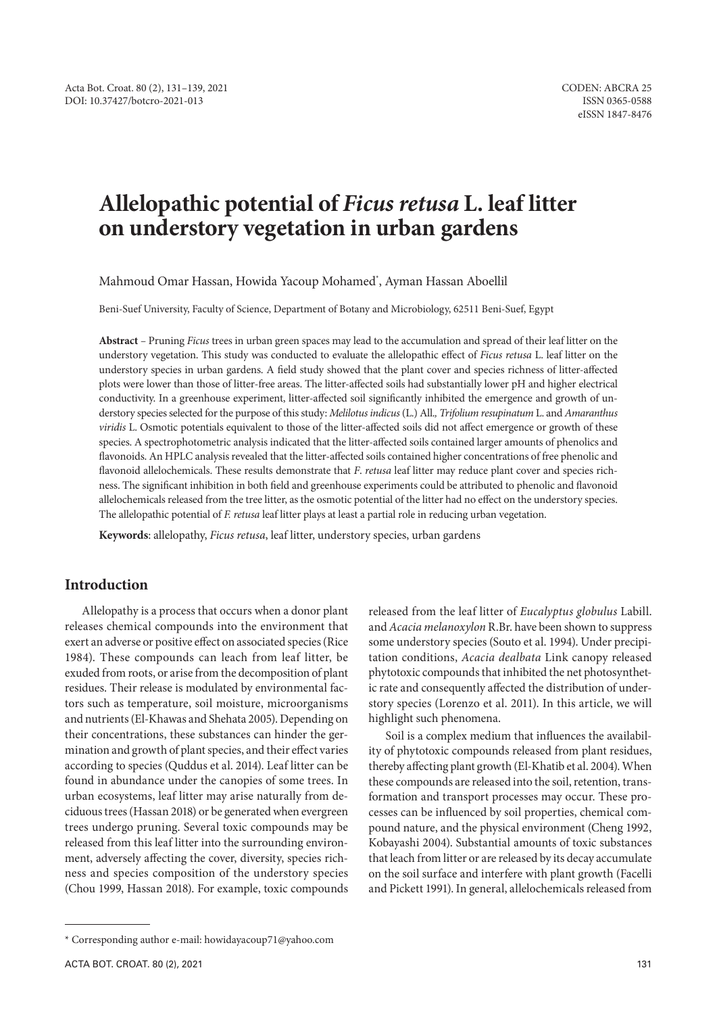# **Allelopathic potential of** *Ficus retusa* **L. leaf litter on understory vegetation in urban gardens**

Mahmoud Omar Hassan, Howida Yacoup Mohamed\* , Ayman Hassan Aboellil

Beni-Suef University, Faculty of Science, Department of Botany and Microbiology, 62511 Beni-Suef, Egypt

**Abstract** *–* Pruning *Ficus* trees in urban green spaces may lead to the accumulation and spread of their leaf litter on the understory vegetation. This study was conducted to evaluate the allelopathic effect of *Ficus retusa* L. leaf litter on the understory species in urban gardens. A field study showed that the plant cover and species richness of litter-affected plots were lower than those of litter-free areas. The litter-affected soils had substantially lower pH and higher electrical conductivity. In a greenhouse experiment, litter-affected soil significantly inhibited the emergence and growth of understory species selected for the purpose of this study: *Melilotus indicus* (L.) All.*, Trifolium resupinatum* L. and *Amaranthus viridis* L. Osmotic potentials equivalent to those of the litter-affected soils did not affect emergence or growth of these species. A spectrophotometric analysis indicated that the litter-affected soils contained larger amounts of phenolics and flavonoids. An HPLC analysis revealed that the litter-affected soils contained higher concentrations of free phenolic and flavonoid allelochemicals. These results demonstrate that *F*. *retusa* leaf litter may reduce plant cover and species richness. The significant inhibition in both field and greenhouse experiments could be attributed to phenolic and flavonoid allelochemicals released from the tree litter, as the osmotic potential of the litter had no effect on the understory species. The allelopathic potential of *F. retusa* leaf litter plays at least a partial role in reducing urban vegetation.

**Keywords**: allelopathy, *Ficus retusa*, leaf litter, understory species, urban gardens

# **Introduction**

Allelopathy is a process that occurs when a donor plant releases chemical compounds into the environment that exert an adverse or positive effect on associated species (Rice 1984). These compounds can leach from leaf litter, be exuded from roots, or arise from the decomposition of plant residues. Their release is modulated by environmental factors such as temperature, soil moisture, microorganisms and nutrients (El-Khawas and Shehata 2005). Depending on their concentrations, these substances can hinder the germination and growth of plant species, and their effect varies according to species (Quddus et al. 2014). Leaf litter can be found in abundance under the canopies of some trees. In urban ecosystems, leaf litter may arise naturally from deciduous trees (Hassan 2018) or be generated when evergreen trees undergo pruning. Several toxic compounds may be released from this leaf litter into the surrounding environment, adversely affecting the cover, diversity, species richness and species composition of the understory species (Chou 1999, Hassan 2018). For example, toxic compounds

Soil is a complex medium that influences the availability of phytotoxic compounds released from plant residues, thereby affecting plant growth (El-Khatib et al. 2004). When these compounds are released into the soil, retention, transformation and transport processes may occur. These processes can be influenced by soil properties, chemical compound nature, and the physical environment (Cheng 1992, Kobayashi 2004). Substantial amounts of toxic substances that leach from litter or are released by its decay accumulate on the soil surface and interfere with plant growth (Facelli and Pickett 1991). In general, allelochemicals released from

released from the leaf litter of *Eucalyptus globulus* Labill. and *Acacia melanoxylon* R.Br. have been shown to suppress some understory species (Souto et al. 1994). Under precipitation conditions, *Acacia dealbata* Link canopy released phytotoxic compounds that inhibited the net photosynthetic rate and consequently affected the distribution of understory species (Lorenzo et al. 2011). In this article, we will highlight such phenomena.

<sup>\*</sup> Corresponding author e-mail: howidayacoup71@yahoo.com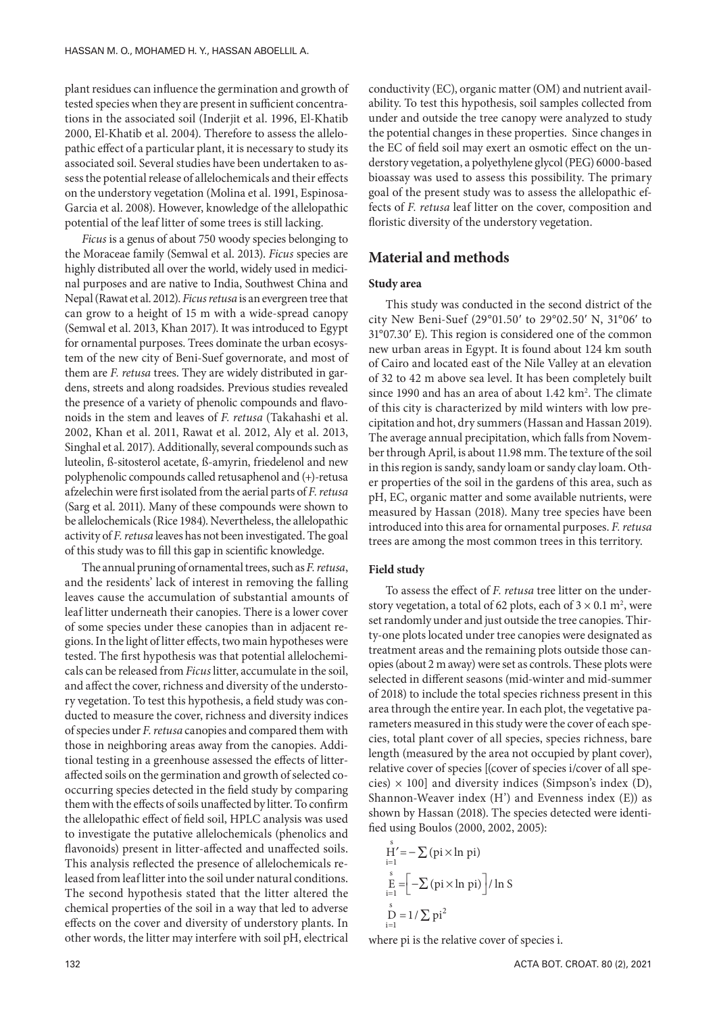plant residues can influence the germination and growth of tested species when they are present in sufficient concentrations in the associated soil (Inderjit et al. 1996, El-Khatib 2000, El-Khatib et al. 2004). Therefore to assess the allelopathic effect of a particular plant, it is necessary to study its associated soil. Several studies have been undertaken to assess the potential release of allelochemicals and their effects on the understory vegetation (Molina et al. 1991, Espinosa-Garcia et al. 2008). However, knowledge of the allelopathic potential of the leaf litter of some trees is still lacking.

*Ficus* is a genus of about 750 woody species belonging to the Moraceae family (Semwal et al. 2013). *Ficus* species are highly distributed all over the world, widely used in medicinal purposes and are native to India, Southwest China and Nepal (Rawat et al. 2012). *Ficus retusa* is an evergreen tree that can grow to a height of 15 m with a wide-spread canopy (Semwal et al. 2013, Khan 2017). It was introduced to Egypt for ornamental purposes. Trees dominate the urban ecosystem of the new city of Beni-Suef governorate, and most of them are *F. retusa* trees. They are widely distributed in gardens, streets and along roadsides. Previous studies revealed the presence of a variety of phenolic compounds and flavonoids in the stem and leaves of *F. retusa* (Takahashi et al. 2002, Khan et al. 2011, Rawat et al. 2012, Aly et al. 2013, Singhal et al. 2017). Additionally, several compounds such as luteolin, ß-sitosterol acetate, ß-amyrin, friedelenol and new polyphenolic compounds called retusaphenol and (+)-retusa afzelechin were first isolated from the aerial parts of *F. retusa* (Sarg et al. 2011). Many of these compounds were shown to be allelochemicals (Rice 1984). Nevertheless, the allelopathic activity of *F. retusa* leaves has not been investigated. The goal of this study was to fill this gap in scientific knowledge.

The annual pruning of ornamental trees, such as *F. retusa*, and the residents' lack of interest in removing the falling leaves cause the accumulation of substantial amounts of leaf litter underneath their canopies. There is a lower cover of some species under these canopies than in adjacent regions. In the light of litter effects, two main hypotheses were tested. The first hypothesis was that potential allelochemicals can be released from *Ficus* litter, accumulate in the soil, and affect the cover, richness and diversity of the understory vegetation. To test this hypothesis, a field study was conducted to measure the cover, richness and diversity indices of species under *F. retusa* canopies and compared them with those in neighboring areas away from the canopies. Additional testing in a greenhouse assessed the effects of litteraffected soils on the germination and growth of selected cooccurring species detected in the field study by comparing them with the effects of soils unaffected by litter. To confirm the allelopathic effect of field soil, HPLC analysis was used to investigate the putative allelochemicals (phenolics and flavonoids) present in litter-affected and unaffected soils. This analysis reflected the presence of allelochemicals released from leaf litter into the soil under natural conditions. The second hypothesis stated that the litter altered the chemical properties of the soil in a way that led to adverse effects on the cover and diversity of understory plants. In other words, the litter may interfere with soil pH, electrical

conductivity (EC), organic matter (OM) and nutrient availability. To test this hypothesis, soil samples collected from under and outside the tree canopy were analyzed to study the potential changes in these properties. Since changes in the EC of field soil may exert an osmotic effect on the understory vegetation, a polyethylene glycol (PEG) 6000-based bioassay was used to assess this possibility. The primary goal of the present study was to assess the allelopathic effects of *F. retusa* leaf litter on the cover, composition and floristic diversity of the understory vegetation.

## **Material and methods**

#### **Study area**

This study was conducted in the second district of the city New Beni-Suef (29°01.50′ to 29°02.50′ N, 31°06′ to 31°07.30′ E). This region is considered one of the common new urban areas in Egypt. It is found about 124 km south of Cairo and located east of the Nile Valley at an elevation of 32 to 42 m above sea level. It has been completely built since 1990 and has an area of about  $1.42 \text{ km}^2$ . The climate of this city is characterized by mild winters with low precipitation and hot, dry summers (Hassan and Hassan 2019). The average annual precipitation, which falls from November through April, is about 11.98 mm. The texture of the soil in this region is sandy, sandy loam or sandy clay loam. Other properties of the soil in the gardens of this area, such as pH, EC, organic matter and some available nutrients, were measured by Hassan (2018). Many tree species have been introduced into this area for ornamental purposes. *F. retusa* trees are among the most common trees in this territory.

#### **Field study**

To assess the effect of *F. retusa* tree litter on the understory vegetation, a total of 62 plots, each of  $3 \times 0.1$  m<sup>2</sup>, were set randomly under and just outside the tree canopies. Thirty-one plots located under tree canopies were designated as treatment areas and the remaining plots outside those canopies (about 2 m away) were set as controls. These plots were selected in different seasons (mid-winter and mid-summer of 2018) to include the total species richness present in this area through the entire year. In each plot, the vegetative parameters measured in this study were the cover of each species, total plant cover of all species, species richness, bare length (measured by the area not occupied by plant cover), relative cover of species [(cover of species i/cover of all species)  $\times$  100] and diversity indices (Simpson's index (D), Shannon-Weaver index (H') and Evenness index (E)) as shown by Hassan (2018). The species detected were identified using Boulos (2000, 2002, 2005):

$$
H' = -\sum (pi \times \ln pi)
$$
  
\n
$$
E = \left[ -\sum (pi \times \ln pi) \right] / \ln S
$$
  
\n
$$
S = 1 / \sum pi^{2}
$$

where pi is the relative cover of species i.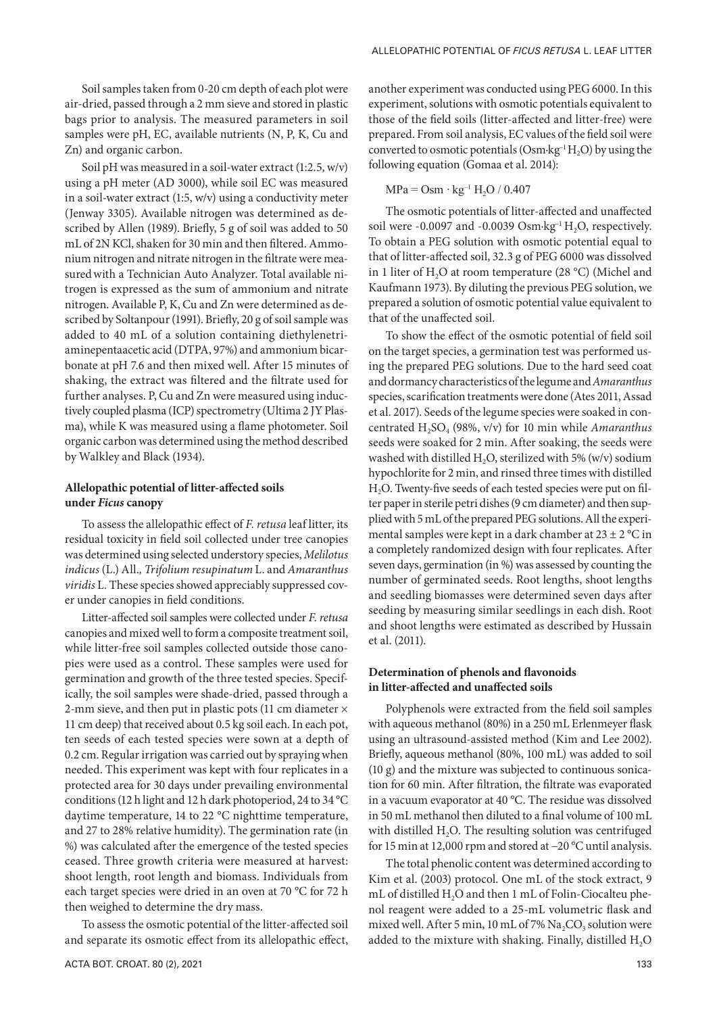Soil samples taken from 0-20 cm depth of each plot were air-dried, passed through a 2 mm sieve and stored in plastic bags prior to analysis. The measured parameters in soil samples were pH, EC, available nutrients (N, P, K, Cu and Zn) and organic carbon.

Soil pH was measured in a soil-water extract (1:2.5, w/v) using a pH meter (AD 3000), while soil EC was measured in a soil-water extract (1:5, w/v) using a conductivity meter (Jenway 3305). Available nitrogen was determined as described by Allen (1989). Briefly, 5 g of soil was added to 50 mL of 2N KCl, shaken for 30 min and then filtered. Ammonium nitrogen and nitrate nitrogen in the filtrate were measuredwith a Technician Auto Analyzer. Total available nitrogen is expressed as the sum of ammonium and nitrate nitrogen. Available P, K, Cu and Zn were determined as described by Soltanpour (1991). Briefly, 20 g of soil sample was added to 40 mL of a solution containing diethylenetriaminepentaacetic acid (DTPA, 97%) and ammonium bicarbonate at pH 7.6 and then mixed well. After 15 minutes of shaking, the extract was filtered and the filtrate used for further analyses. P, Cu and Zn were measured using inductively coupled plasma (ICP) spectrometry (Ultima 2 JY Plasma), while K was measured using a flame photometer. Soil organic carbon was determined using the method described by Walkley and Black (1934).

#### **Allelopathic potential of litter-affected soils under** *Ficus* **canopy**

To assess the allelopathic effect of *F. retusa* leaf litter, its residual toxicity in field soil collected under tree canopies was determined using selected understory species, *Melilotus indicus* (L.) All.*, Trifolium resupinatum* L. and *Amaranthus viridis* L*.* These species showed appreciably suppressed cover under canopies in field conditions.

Litter-affected soil samples were collected under *F. retusa* canopies and mixed well to form a composite treatment soil, while litter-free soil samples collected outside those canopies were used as a control. These samples were used for germination and growth of the three tested species. Specifically, the soil samples were shade-dried, passed through a 2-mm sieve, and then put in plastic pots (11 cm diameter × 11 cm deep) that received about 0.5 kg soil each. In each pot, ten seeds of each tested species were sown at a depth of 0.2 cm. Regular irrigation was carried out by spraying when needed. This experiment was kept with four replicates in a protected area for 30 days under prevailing environmental conditions (12 h light and 12 h dark photoperiod, 24 to 34 °C daytime temperature, 14 to 22 °C nighttime temperature, and 27 to 28% relative humidity). The germination rate (in %) was calculated after the emergence of the tested species ceased. Three growth criteria were measured at harvest: shoot length, root length and biomass. Individuals from each target species were dried in an oven at 70 °C for 72 h then weighed to determine the dry mass.

To assess the osmotic potential of the litter-affected soil and separate its osmotic effect from its allelopathic effect,

another experiment was conducted using PEG 6000. In this experiment, solutions with osmotic potentials equivalent to those of the field soils (litter-affected and litter-free) were prepared. From soil analysis, EC values of the field soil were converted to osmotic potentials (Osm $\cdot$ kg<sup>-1</sup> $H_2$ O) by using the following equation (Gomaa et al. 2014):

#### $MPa = Osm \cdot kg^{-1} H_2O / 0.407$

The osmotic potentials of litter-affected and unaffected soil were -0.0097 and -0.0039  $Osm·kg<sup>-1</sup> H<sub>2</sub>O$ , respectively. To obtain a PEG solution with osmotic potential equal to that of litter-affected soil, 32.3 g of PEG 6000 was dissolved in 1 liter of H<sub>2</sub>O at room temperature (28 °C) (Michel and Kaufmann 1973). By diluting the previous PEG solution, we prepared a solution of osmotic potential value equivalent to that of the unaffected soil.

To show the effect of the osmotic potential of field soil on the target species, a germination test was performed using the prepared PEG solutions. Due to the hard seed coat and dormancy characteristics of the legume and *Amaranthus* species, scarification treatments were done (Ates 2011, Assad et al. 2017). Seeds of the legume species were soaked in concentrated H<sub>2</sub>SO<sub>4</sub> (98%, v/v) for 10 min while *Amaranthus* seeds were soaked for 2 min. After soaking, the seeds were washed with distilled  $H_2O$ , sterilized with 5% (w/v) sodium hypochlorite for 2 min, and rinsed three times with distilled H<sub>2</sub>O. Twenty-five seeds of each tested species were put on filter paper in sterile petri dishes (9 cm diameter) and then supplied with 5 mL of the prepared PEG solutions. All the experimental samples were kept in a dark chamber at 23 ± 2 °C in a completely randomized design with four replicates. After seven days, germination (in %) was assessed by counting the number of germinated seeds. Root lengths, shoot lengths and seedling biomasses were determined seven days after seeding by measuring similar seedlings in each dish. Root and shoot lengths were estimated as described by Hussain et al. (2011).

#### **Determination of phenols and flavonoids in litter-affected and unaffected soils**

Polyphenols were extracted from the field soil samples with aqueous methanol (80%) in a 250 mL Erlenmeyer flask using an ultrasound-assisted method (Kim and Lee 2002). Briefly, aqueous methanol (80%, 100 mL) was added to soil (10 g) and the mixture was subjected to continuous sonication for 60 min. After filtration, the filtrate was evaporated in a vacuum evaporator at 40 °C. The residue was dissolved in 50 mL methanol then diluted to a final volume of 100 mL with distilled  $H_2O$ . The resulting solution was centrifuged for 15 min at 12,000 rpm and stored at −20 °C until analysis.

The total phenolic content was determined according to Kim et al. (2003) protocol. One mL of the stock extract, 9 mL of distilled  $H_2O$  and then 1 mL of Folin-Ciocalteu phenol reagent were added to a 25-mL volumetric flask and mixed well. After 5 min, 10 mL of 7%  $Na<sub>2</sub>CO<sub>3</sub>$  solution were added to the mixture with shaking. Finally, distilled  $H_2O$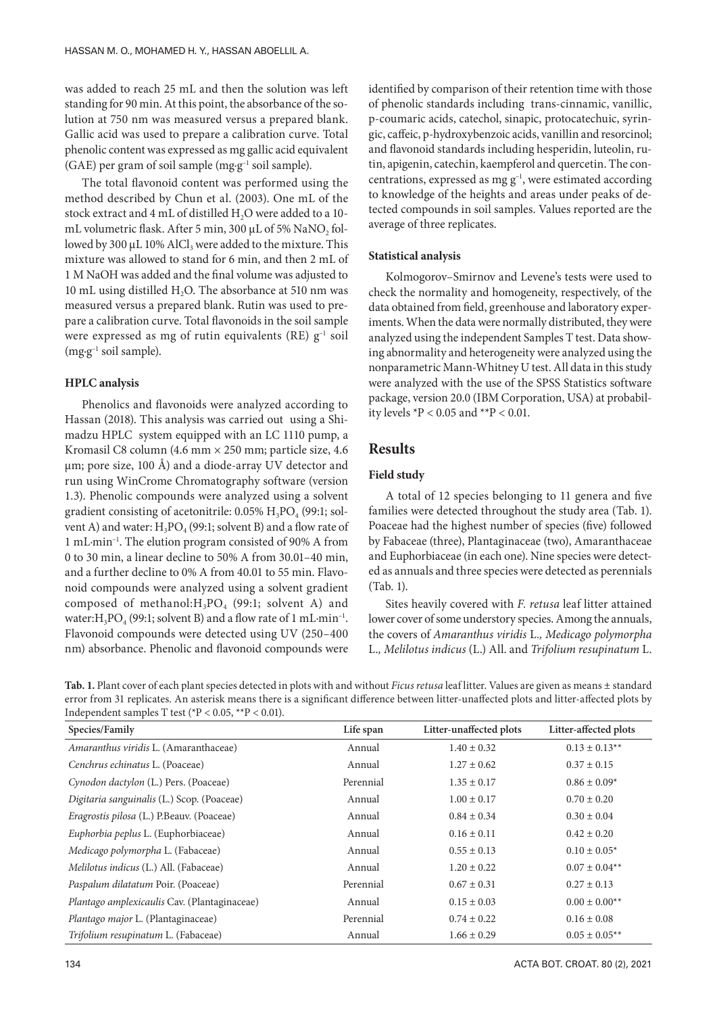was added to reach 25 mL and then the solution was left standing for 90 min. At this point, the absorbance of the solution at 750 nm was measured versus a prepared blank. Gallic acid was used to prepare a calibration curve. Total phenolic content was expressed as mg gallic acid equivalent (GAE) per gram of soil sample (mg·g–1 soil sample).

The total flavonoid content was performed using the method described by Chun et al. (2003). One mL of the stock extract and 4 mL of distilled H<sub>2</sub>O were added to a 10mL volumetric flask. After 5 min, 300 μL of 5% NaNO<sub>2</sub> followed by 300 μL 10% AlCl<sub>3</sub> were added to the mixture. This mixture was allowed to stand for 6 min, and then 2 mL of 1 M NaOH was added and the final volume was adjusted to 10 mL using distilled  $H_2O$ . The absorbance at 510 nm was measured versus a prepared blank. Rutin was used to prepare a calibration curve. Total flavonoids in the soil sample were expressed as mg of rutin equivalents (RE) g<sup>-1</sup> soil  $(mg·g<sup>-1</sup> soil sample).$ 

## **HPLC analysis**

Phenolics and flavonoids were analyzed according to Hassan (2018). This analysis was carried out using a Shimadzu HPLC system equipped with an LC 1110 pump, a Kromasil C8 column (4.6 mm × 250 mm; particle size, 4.6 μm; pore size, 100 Å) and a diode-array UV detector and run using WinCrome Chromatography software (version 1.3). Phenolic compounds were analyzed using a solvent gradient consisting of acetonitrile:  $0.05\%$  H<sub>3</sub>PO<sub>4</sub> (99:1; solvent A) and water:  $H_3PO_4(99:1;$  solvent B) and a flow rate of 1 mL·min–1. The elution program consisted of 90% A from 0 to 30 min, a linear decline to 50% A from 30.01–40 min, and a further decline to 0% A from 40.01 to 55 min. Flavonoid compounds were analyzed using a solvent gradient composed of methanol: $H_3PO_4$  (99:1; solvent A) and water:  $H_2PO_4$  (99:1; solvent B) and a flow rate of 1 mL·min<sup>-1</sup>. Flavonoid compounds were detected using UV (250–400 nm) absorbance. Phenolic and flavonoid compounds were

identified by comparison of their retention time with those of phenolic standards including trans-cinnamic, vanillic, p-coumaric acids, catechol, sinapic, protocatechuic, syringic, caffeic, p-hydroxybenzoic acids, vanillin and resorcinol; and flavonoid standards including hesperidin, luteolin, rutin, apigenin, catechin, kaempferol and quercetin. The concentrations, expressed as mg  $g^{-1}$ , were estimated according to knowledge of the heights and areas under peaks of detected compounds in soil samples. Values reported are the average of three replicates.

#### **Statistical analysis**

Kolmogorov–Smirnov and Levene's tests were used to check the normality and homogeneity, respectively, of the data obtained from field, greenhouse and laboratory experiments. When the data were normally distributed, they were analyzed using the independent Samples T test. Data showing abnormality and heterogeneity were analyzed using the nonparametric Mann-Whitney U test. All data in this study were analyzed with the use of the SPSS Statistics software package, version 20.0 (IBM Corporation, USA) at probability levels  ${}^{\ast}P$  < 0.05 and  ${}^{\ast}{}^{\ast}P$  < 0.01.

## **Results**

#### **Field study**

A total of 12 species belonging to 11 genera and five families were detected throughout the study area (Tab. 1). Poaceae had the highest number of species (five) followed by Fabaceae (three), Plantaginaceae (two), Amaranthaceae and Euphorbiaceae (in each one). Nine species were detected as annuals and three species were detected as perennials (Tab. 1).

Sites heavily covered with *F. retusa* leaf litter attained lower cover of some understory species. Among the annuals, the covers of *Amaranthus viridis* L*., Medicago polymorpha* L.*, Melilotus indicus* (L.) All. and *Trifolium resupinatum* L.

**Tab. 1.** Plant cover of each plant species detected in plots with and without *Ficus retusa* leaf litter. Values are given as means ± standard error from 31 replicates. An asterisk means there is a significant difference between litter-unaffected plots and litter-affected plots by Independent samples T test (\*P < 0.05, \*\*P < 0.01).

| Species/Family                                   | Life span | Litter-unaffected plots | Litter-affected plots |  |
|--------------------------------------------------|-----------|-------------------------|-----------------------|--|
| Amaranthus viridis L. (Amaranthaceae)            | Annual    | $1.40 \pm 0.32$         | $0.13 \pm 0.13^{**}$  |  |
| Cenchrus echinatus L. (Poaceae)                  | Annual    | $1.27 \pm 0.62$         | $0.37 \pm 0.15$       |  |
| Cynodon dactylon (L.) Pers. (Poaceae)            | Perennial | $1.35 \pm 0.17$         | $0.86 \pm 0.09*$      |  |
| Digitaria sanguinalis (L.) Scop. (Poaceae)       | Annual    | $1.00 \pm 0.17$         | $0.70 \pm 0.20$       |  |
| <i>Eragrostis pilosa</i> (L.) P.Beauv. (Poaceae) | Annual    | $0.84 \pm 0.34$         | $0.30 \pm 0.04$       |  |
| Euphorbia peplus L. (Euphorbiaceae)              | Annual    | $0.16 \pm 0.11$         | $0.42 \pm 0.20$       |  |
| Medicago polymorpha L. (Fabaceae)                | Annual    | $0.55 \pm 0.13$         | $0.10 \pm 0.05*$      |  |
| Melilotus indicus (L.) All. (Fabaceae)           | Annual    | $1.20 \pm 0.22$         | $0.07 \pm 0.04**$     |  |
| Paspalum dilatatum Poir. (Poaceae)               | Perennial | $0.67 \pm 0.31$         | $0.27 \pm 0.13$       |  |
| Plantago amplexicaulis Cav. (Plantaginaceae)     | Annual    | $0.15 \pm 0.03$         | $0.00 \pm 0.00^{**}$  |  |
| Plantago major L. (Plantaginaceae)               | Perennial | $0.74 \pm 0.22$         | $0.16 \pm 0.08$       |  |
| Trifolium resupinatum L. (Fabaceae)              | Annual    | $1.66 \pm 0.29$         | $0.05 \pm 0.05^{**}$  |  |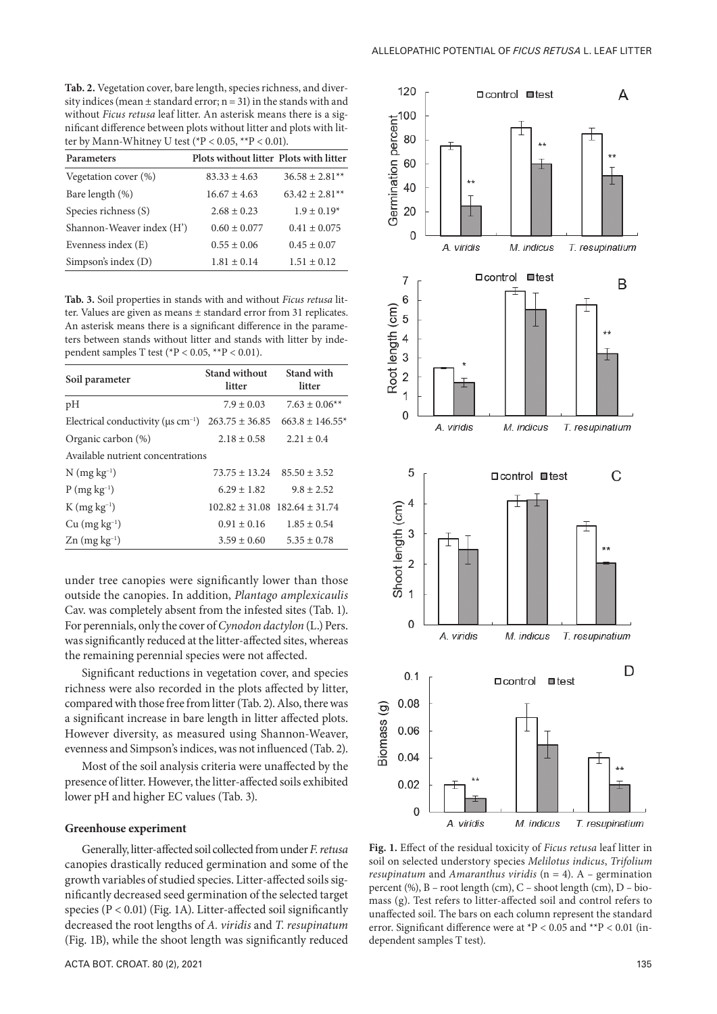**Tab. 2.** Vegetation cover, bare length, species richness, and diversity indices (mean  $\pm$  standard error; n = 31) in the stands with and without *Ficus retusa* leaf litter. An asterisk means there is a significant difference between plots without litter and plots with litter by Mann-Whitney U test ( ${}^*P$  < 0.05,  ${}^{**}P$  < 0.01).

| Parameters                | Plots without litter Plots with litter |                    |
|---------------------------|----------------------------------------|--------------------|
| Vegetation cover (%)      | $83.33 \pm 4.63$                       | $36.58 \pm 2.81**$ |
| Bare length (%)           | $16.67 \pm 4.63$                       | $63.42 \pm 2.81**$ |
| Species richness (S)      | $2.68 \pm 0.23$                        | $1.9 \pm 0.19*$    |
| Shannon-Weaver index (H') | $0.60 \pm 0.077$                       | $0.41 \pm 0.075$   |
| Evenness index (E)        | $0.55 \pm 0.06$                        | $0.45 \pm 0.07$    |
| Simpson's index (D)       | $1.81 \pm 0.14$                        | $1.51 \pm 0.12$    |

**Tab. 3.** Soil properties in stands with and without *Ficus retusa* litter. Values are given as means ± standard error from 31 replicates. An asterisk means there is a significant difference in the parameters between stands without litter and stands with litter by independent samples T test ( ${}^*P$  < 0.05,  ${}^{**}P$  < 0.01).

| Soil parameter                                                      | <b>Stand without</b><br>litter | Stand with<br>litter                  |
|---------------------------------------------------------------------|--------------------------------|---------------------------------------|
| pH                                                                  | $7.9 \pm 0.03$                 | $7.63 \pm 0.06**$                     |
| Electrical conductivity ( $\mu$ s cm <sup>-1</sup> ) 263.75 ± 36.85 |                                | $663.8 \pm 146.55*$                   |
| Organic carbon (%)                                                  | $2.18 \pm 0.58$                | $2.21 \pm 0.4$                        |
| Available nutrient concentrations                                   |                                |                                       |
| $N$ (mg kg <sup>-1</sup> )                                          |                                | $73.75 \pm 13.24$ $85.50 \pm 3.52$    |
| $P(mg kg^{-1})$                                                     | $6.29 \pm 1.82$                | $9.8 \pm 2.52$                        |
| $K$ (mg kg <sup>-1</sup> )                                          |                                | $102.82 \pm 31.08$ 182.64 $\pm$ 31.74 |
| $Cu$ (mg $kg^{-1}$ )                                                | $0.91 \pm 0.16$                | $1.85 \pm 0.54$                       |
| $\text{Zn}$ (mg kg <sup>-1</sup> )                                  | $3.59 \pm 0.60$                | $5.35 \pm 0.78$                       |

under tree canopies were significantly lower than those outside the canopies. In addition, *Plantago amplexicaulis* Cav. was completely absent from the infested sites (Tab. 1). For perennials, only the cover of *Cynodon dactylon* (L.) Pers. was significantly reduced at the litter-affected sites, whereas the remaining perennial species were not affected.

Significant reductions in vegetation cover, and species richness were also recorded in the plots affected by litter, compared with those free from litter (Tab. 2). Also, there was a significant increase in bare length in litter affected plots. However diversity, as measured using Shannon-Weaver, evenness and Simpson's indices, was not influenced (Tab. 2).

Most of the soil analysis criteria were unaffected by the presence of litter. However, the litter-affected soils exhibited lower pH and higher EC values (Tab. 3).

#### **Greenhouse experiment**

Generally, litter-affected soil collected from under *F. retusa* canopies drastically reduced germination and some of the growth variables of studied species. Litter-affected soils significantly decreased seed germination of the selected target species  $(P < 0.01)$  (Fig. 1A). Litter-affected soil significantly decreased the root lengths of *A. viridis* and *T. resupinatum* (Fig. 1B), while the shoot length was significantly reduced



**Fig. 1.** Effect of the residual toxicity of *Ficus retusa* leaf litter in soil on selected understory species *Melilotus indicus*, *Trifolium resupinatum* and *Amaranthus viridis* (n = 4). A *–* germination percent (%), B *–* root length (cm), C *–* shoot length (cm), D *–* biomass (g). Test refers to litter-affected soil and control refers to unaffected soil. The bars on each column represent the standard error. Significant difference were at \*P < 0.05 and \*\*P < 0.01 (independent samples T test).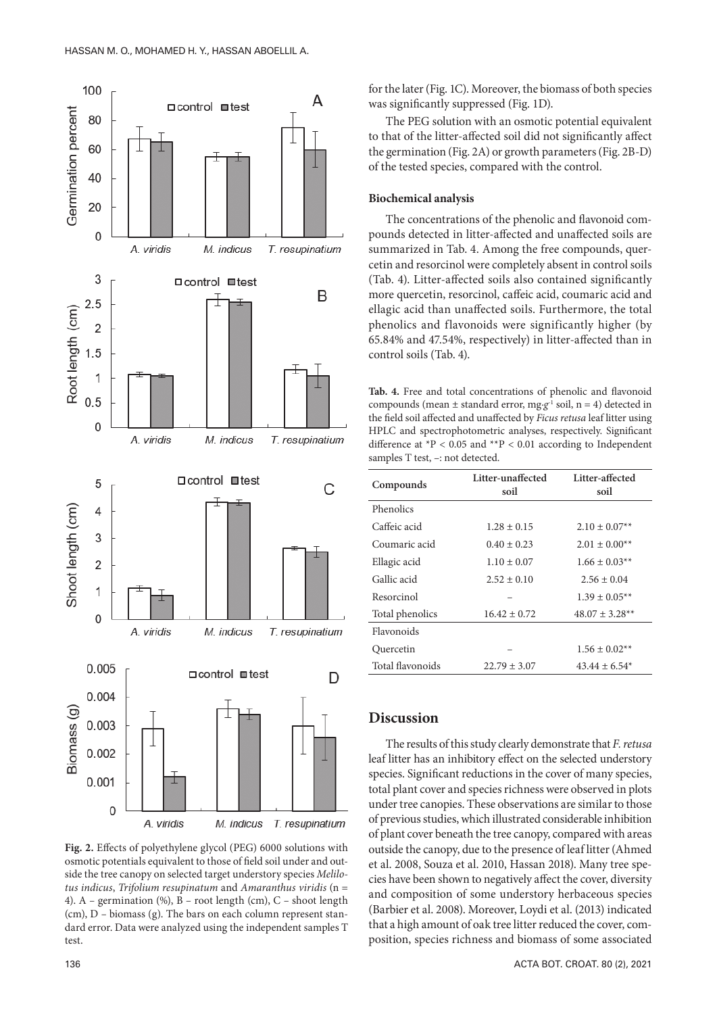

**Fig. 2.** Effects of polyethylene glycol (PEG) 6000 solutions with osmotic potentials equivalent to those of field soil under and outside the tree canopy on selected target understory species *Melilotus indicus*, *Trifolium resupinatum* and *Amaranthus viridis* (n = 4). A *–* germination (%), B *–* root length (cm), C *–* shoot length (cm), D *–* biomass (g). The bars on each column represent standard error. Data were analyzed using the independent samples T test.

for the later (Fig. 1C). Moreover, the biomass of both species was significantly suppressed (Fig. 1D).

The PEG solution with an osmotic potential equivalent to that of the litter-affected soil did not significantly affect the germination (Fig. 2A) or growth parameters (Fig. 2B-D) of the tested species, compared with the control.

#### **Biochemical analysis**

The concentrations of the phenolic and flavonoid compounds detected in litter-affected and unaffected soils are summarized in Tab. 4. Among the free compounds, quercetin and resorcinol were completely absent in control soils (Tab. 4). Litter-affected soils also contained significantly more quercetin, resorcinol, caffeic acid, coumaric acid and ellagic acid than unaffected soils. Furthermore, the total phenolics and flavonoids were significantly higher (by 65.84% and 47.54%, respectively) in litter-affected than in control soils (Tab. 4).

**Tab. 4.** Free and total concentrations of phenolic and flavonoid compounds (mean  $\pm$  standard error, mg·g<sup>-1</sup> soil, n = 4) detected in the field soil affected and unaffected by *Ficus retusa* leaf litter using HPLC and spectrophotometric analyses, respectively. Significant difference at  ${}^{*}P$  < 0.05 and  ${}^{*}P$  < 0.01 according to Independent samples T test, –: not detected.

| Compounds        | Litter-unaffected<br>soil | Litter-affected<br>soil        |
|------------------|---------------------------|--------------------------------|
| Phenolics        |                           |                                |
| Caffeic acid     | $1.28 \pm 0.15$           | $2.10 \pm 0.07**$              |
| Coumaric acid    | $0.40 \pm 0.23$           | $2.01 \pm 0.00^{**}$           |
| Ellagic acid     | $1.10 \pm 0.07$           | $1.66 \pm 0.03**$              |
| Gallic acid      | $2.52 \pm 0.10$           | $2.56 \pm 0.04$                |
| Resorcinol       |                           | $1.39 \pm 0.05**$              |
| Total phenolics  | $16.42 \pm 0.72$          | $48.07 \pm 3.28$ <sup>**</sup> |
| Flavonoids       |                           |                                |
| Quercetin        |                           | $1.56 \pm 0.02**$              |
| Total flavonoids | $22.79 \pm 3.07$          | $43.44 \pm 6.54$ <sup>*</sup>  |
|                  |                           |                                |

## **Discussion**

The results of this study clearly demonstrate that *F. retusa* leaf litter has an inhibitory effect on the selected understory species. Significant reductions in the cover of many species, total plant cover and species richness were observed in plots under tree canopies. These observations are similar to those of previous studies, which illustrated considerable inhibition of plant cover beneath the tree canopy, compared with areas outside the canopy, due to the presence of leaf litter (Ahmed et al. 2008, Souza et al. 2010, Hassan 2018). Many tree species have been shown to negatively affect the cover, diversity and composition of some understory herbaceous species (Barbier et al. 2008). Moreover, Loydi et al. (2013) indicated that a high amount of oak tree litter reduced the cover, composition, species richness and biomass of some associated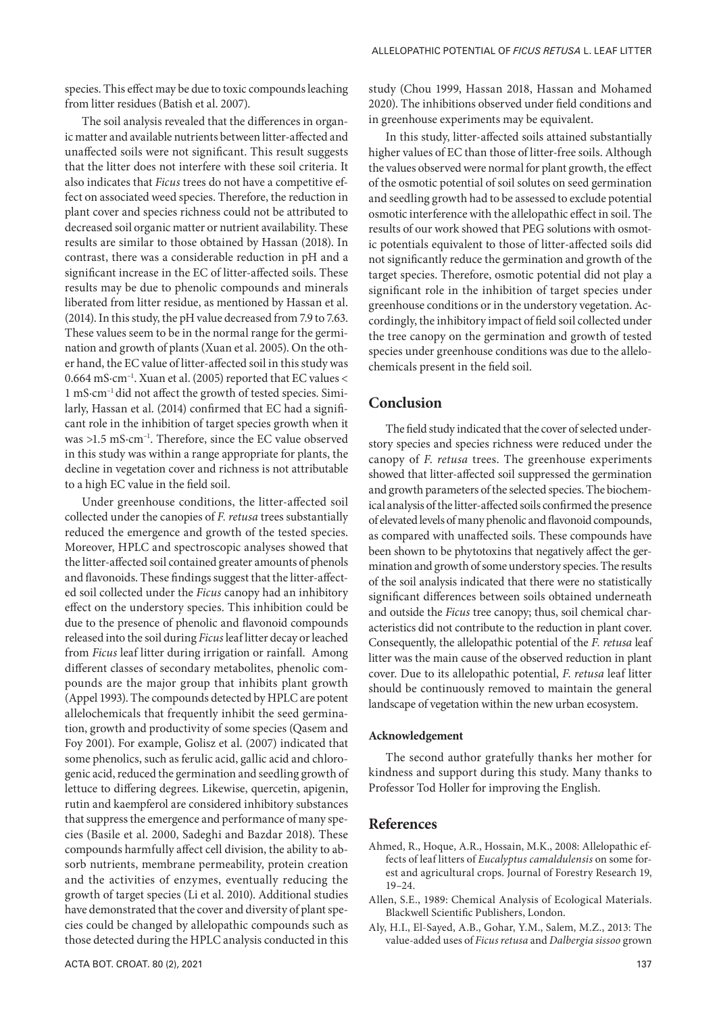species. This effect may be due to toxic compounds leaching from litter residues (Batish et al. 2007).

The soil analysis revealed that the differences in organic matter and available nutrients between litter-affected and unaffected soils were not significant. This result suggests that the litter does not interfere with these soil criteria. It also indicates that *Ficus* trees do not have a competitive effect on associated weed species. Therefore, the reduction in plant cover and species richness could not be attributed to decreased soil organic matter or nutrient availability. These results are similar to those obtained by Hassan (2018). In contrast, there was a considerable reduction in pH and a significant increase in the EC of litter-affected soils. These results may be due to phenolic compounds and minerals liberated from litter residue, as mentioned by Hassan et al. (2014). In this study, the pH value decreased from 7.9 to 7.63. These values seem to be in the normal range for the germination and growth of plants (Xuan et al. 2005). On the other hand, the EC value of litter-affected soil in this study was 0.664 mS·cm–1. Xuan et al. (2005) reported that EC values < 1 mS·cm–1 did not affect the growth of tested species. Similarly, Hassan et al. (2014) confirmed that EC had a significant role in the inhibition of target species growth when it was >1.5 mS·cm–1. Therefore, since the EC value observed in this study was within a range appropriate for plants, the decline in vegetation cover and richness is not attributable to a high EC value in the field soil.

Under greenhouse conditions, the litter-affected soil collected under the canopies of *F. retusa* trees substantially reduced the emergence and growth of the tested species. Moreover, HPLC and spectroscopic analyses showed that the litter-affected soil contained greater amounts of phenols and flavonoids. These findings suggest that the litter-affected soil collected under the *Ficus* canopy had an inhibitory effect on the understory species. This inhibition could be due to the presence of phenolic and flavonoid compounds released into the soil during *Ficus* leaf litter decay or leached from *Ficus* leaf litter during irrigation or rainfall. Among different classes of secondary metabolites, phenolic compounds are the major group that inhibits plant growth (Appel 1993). The compounds detected by HPLC are potent allelochemicals that frequently inhibit the seed germination, growth and productivity of some species (Qasem and Foy 2001). For example, Golisz et al. (2007) indicated that some phenolics, such as ferulic acid, gallic acid and chlorogenic acid, reduced the germination and seedling growth of lettuce to differing degrees. Likewise, quercetin, apigenin, rutin and kaempferol are considered inhibitory substances that suppress the emergence and performance of many species (Basile et al. 2000, Sadeghi and Bazdar 2018). These compounds harmfully affect cell division, the ability to absorb nutrients, membrane permeability, protein creation and the activities of enzymes, eventually reducing the growth of target species (Li et al. 2010). Additional studies have demonstrated that the cover and diversity of plant species could be changed by allelopathic compounds such as those detected during the HPLC analysis conducted in this

study (Chou 1999, Hassan 2018, Hassan and Mohamed 2020). The inhibitions observed under field conditions and in greenhouse experiments may be equivalent.

In this study, litter-affected soils attained substantially higher values of EC than those of litter-free soils. Although the values observed were normal for plant growth, the effect of the osmotic potential of soil solutes on seed germination and seedling growth had to be assessed to exclude potential osmotic interference with the allelopathic effect in soil. The results of our work showed that PEG solutions with osmotic potentials equivalent to those of litter-affected soils did not significantly reduce the germination and growth of the target species. Therefore, osmotic potential did not play a significant role in the inhibition of target species under greenhouse conditions or in the understory vegetation. Accordingly, the inhibitory impact of field soil collected under the tree canopy on the germination and growth of tested species under greenhouse conditions was due to the allelochemicals present in the field soil.

## **Conclusion**

The field study indicated that the cover of selected understory species and species richness were reduced under the canopy of *F*. *retusa* trees. The greenhouse experiments showed that litter-affected soil suppressed the germination and growth parameters of the selected species. The biochemical analysis of the litter-affected soils confirmed the presence of elevated levels of many phenolic and flavonoid compounds, as compared with unaffected soils. These compounds have been shown to be phytotoxins that negatively affect the germination and growth of some understory species. The results of the soil analysis indicated that there were no statistically significant differences between soils obtained underneath and outside the *Ficus* tree canopy; thus, soil chemical characteristics did not contribute to the reduction in plant cover. Consequently, the allelopathic potential of the *F. retusa* leaf litter was the main cause of the observed reduction in plant cover. Due to its allelopathic potential, *F*. *retusa* leaf litter should be continuously removed to maintain the general landscape of vegetation within the new urban ecosystem.

#### **Acknowledgement**

The second author gratefully thanks her mother for kindness and support during this study. Many thanks to Professor Tod Holler for improving the English.

#### **References**

- Ahmed, R., Hoque, A.R., Hossain, M.K., 2008: Allelopathic effects of leaf litters of *Eucalyptus camaldulensis* on some forest and agricultural crops. Journal of Forestry Research 19, 19*–*24.
- Allen, S.E., 1989: Chemical Analysis of Ecological Materials. Blackwell Scientific Publishers, London.
- Aly, H.I., El-Sayed, A.B., Gohar, Y.M., Salem, M.Z., 2013: The value-added uses of *Ficus retusa* and *Dalbergia sissoo* grown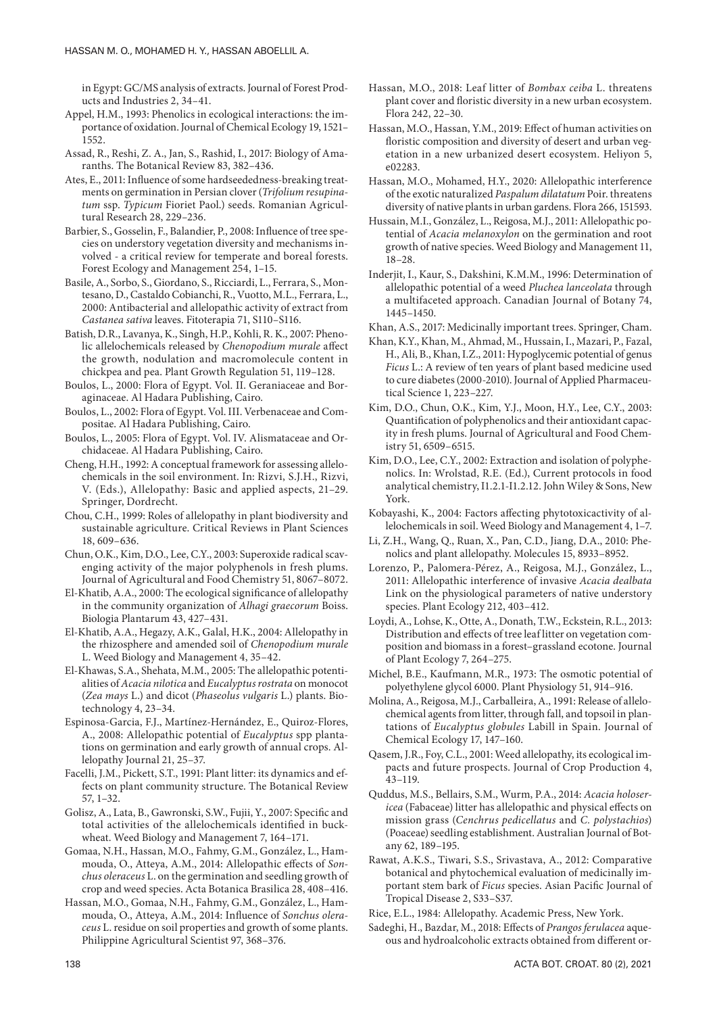in Egypt: GC/MS analysis of extracts. Journal of Forest Products and Industries 2, 34*–*41.

- Appel, H.M., 1993: Phenolics in ecological interactions: the importance of oxidation. Journal of Chemical Ecology 19, 1521*–* 1552.
- Assad, R., Reshi, Z. A., Jan, S., Rashid, I., 2017: Biology of Amaranths. The Botanical Review 83, 382*–*436.
- Ates, E., 2011: Influence of some hardseededness-breaking treatments on germination in Persian clover (*Trifolium resupinatum* ssp. *Typicum* Fioriet Paol.) seeds. Romanian Agricultural Research 28, 229*–*236.
- Barbier, S., Gosselin, F., Balandier, P., 2008: Influence of tree species on understory vegetation diversity and mechanisms involved - a critical review for temperate and boreal forests. Forest Ecology and Management 254, 1*–*15.
- Basile, A., Sorbo, S., Giordano, S., Ricciardi, L., Ferrara, S., Montesano, D., Castaldo Cobianchi, R., Vuotto, M.L., Ferrara, L., 2000: Antibacterial and allelopathic activity of extract from *Castanea sativa* leaves. Fitoterapia 71, S110*–*S116.
- Batish, D.R., Lavanya, K., Singh, H.P., Kohli, R. K., 2007: Phenolic allelochemicals released by *Chenopodium murale* affect the growth, nodulation and macromolecule content in chickpea and pea. Plant Growth Regulation 51, 119–128.
- Boulos, L., 2000: Flora of Egypt. Vol. II. Geraniaceae and Boraginaceae. Al Hadara Publishing, Cairo.
- Boulos, L., 2002: Flora of Egypt. Vol. III. Verbenaceae and Compositae. Al Hadara Publishing, Cairo.
- Boulos, L., 2005: Flora of Egypt. Vol. IV. Alismataceae and Orchidaceae. Al Hadara Publishing, Cairo.
- Cheng, H.H., 1992: A conceptual framework for assessing allelochemicals in the soil environment. In: Rizvi, S.J.H., Rizvi, V. (Eds.), Allelopathy: Basic and applied aspects, 21–29. Springer, Dordrecht.
- Chou, C.H., 1999: Roles of allelopathy in plant biodiversity and sustainable agriculture. Critical Reviews in Plant Sciences 18, 609–636.
- Chun, O.K., Kim, D.O., Lee, C.Y., 2003: Superoxide radical scavenging activity of the major polyphenols in fresh plums. Journal of Agricultural and Food Chemistry 51, 8067–8072.
- El-Khatib, A.A., 2000: The ecological significance of allelopathy in the community organization of *Alhagi graecorum* Boiss. Biologia Plantarum 43, 427–431.
- El-Khatib, A.A., Hegazy, A.K., Galal, H.K., 2004: Allelopathy in the rhizosphere and amended soil of *Chenopodium murale*  L. Weed Biology and Management 4, 35–42.
- El-Khawas, S.A., Shehata, M.M., 2005: The allelopathic potentialities of *Acacia nilotica* and *Eucalyptus rostrata* on monocot (*Zea mays* L.) and dicot (*Phaseolus vulgaris* L.) plants. Biotechnology 4, 23–34.
- Espinosa-Garcia, F.J., Martínez-Hernández, E., Quiroz-Flores, A., 2008: Allelopathic potential of *Eucalyptus* spp plantations on germination and early growth of annual crops. Allelopathy Journal 21, 25–37.
- Facelli, J.M., Pickett, S.T., 1991: Plant litter: its dynamics and effects on plant community structure. The Botanical Review 57, 1–32.
- Golisz, A., Lata, B., Gawronski, S.W., Fujii, Y., 2007: Specific and total activities of the allelochemicals identified in buckwheat. Weed Biology and Management 7, 164–171.
- Gomaa, N.H., Hassan, M.O., Fahmy, G.M., González, L., Hammouda, O., Atteya, A.M., 2014: Allelopathic effects of *Sonchus oleraceus* L. on the germination and seedling growth of crop and weed species. Acta Botanica Brasilica 28, 408–416.
- Hassan, M.O., Gomaa, N.H., Fahmy, G.M., González, L., Hammouda, O., Atteya, A.M., 2014: Influence of *Sonchus oleraceus* L. residue on soil properties and growth of some plants. Philippine Agricultural Scientist 97, 368–376.
- Hassan, M.O., 2018: Leaf litter of *Bombax ceiba* L. threatens plant cover and floristic diversity in a new urban ecosystem. Flora 242, 22–30.
- Hassan, M.O., Hassan, Y.M., 2019: Effect of human activities on floristic composition and diversity of desert and urban vegetation in a new urbanized desert ecosystem. Heliyon 5, e02283.
- Hassan, M.O., Mohamed, H.Y., 2020: Allelopathic interference of the exotic naturalized *Paspalum dilatatum* Poir. threatens diversity of native plants in urban gardens. Flora 266, 151593.
- Hussain, M.I., González, L., Reigosa, M.J., 2011: Allelopathic potential of *Acacia melanoxylon* on the germination and root growth of native species. Weed Biology and Management 11, 18–28.
- Inderjit, I., Kaur, S., Dakshini, K.M.M., 1996: Determination of allelopathic potential of a weed *Pluchea lanceolata* through a multifaceted approach. Canadian Journal of Botany 74, 1445–1450.
- Khan, A.S., 2017: Medicinally important trees. Springer, Cham.
- Khan, K.Y., Khan, M., Ahmad, M., Hussain, I., Mazari, P., Fazal, H., Ali, B., Khan, I.Z., 2011: Hypoglycemic potential of genus *Ficus* L.: A review of ten years of plant based medicine used to cure diabetes (2000-2010). Journal of Applied Pharmaceutical Science 1, 223–227.
- Kim, D.O., Chun, O.K., Kim, Y.J., Moon, H.Y., Lee, C.Y., 2003: Quantification of polyphenolics and their antioxidant capacity in fresh plums. Journal of Agricultural and Food Chemistry 51, 6509–6515.
- Kim, D.O., Lee, C.Y., 2002: Extraction and isolation of polyphenolics. In: Wrolstad, R.E. (Ed.), Current protocols in food analytical chemistry, І1.2.1-І1.2.12. John Wiley & Sons, New York.
- Kobayashi, K., 2004: Factors affecting phytotoxicactivity of allelochemicals in soil. Weed Biology and Management 4, 1–7.
- Li, Z.H., Wang, Q., Ruan, X., Pan, C.D., Jiang, D.A., 2010: Phenolics and plant allelopathy. Molecules 15, 8933–8952.
- Lorenzo, P., Palomera-Pérez, A., Reigosa, M.J., González, L., 2011: Allelopathic interference of invasive *Acacia dealbata* Link on the physiological parameters of native understory species. Plant Ecology 212, 403–412.
- Loydi, A., Lohse, K., Otte, A., Donath, T.W., Eckstein, R.L., 2013: Distribution and effects of tree leaf litter on vegetation composition and biomass in a forest–grassland ecotone. Journal of Plant Ecology 7, 264–275.
- Michel, B.E., Kaufmann, M.R., 1973: The osmotic potential of polyethylene glycol 6000. Plant Physiology 51, 914–916.
- Molina, A., Reigosa, M.J., Carballeira, A., 1991: Release of allelochemical agents from litter, through fall, and topsoil in plantations of *Eucalyptus globules* Labill in Spain. Journal of Chemical Ecology 17, 147–160.
- Qasem, J.R., Foy, C.L., 2001: Weed allelopathy, its ecological impacts and future prospects. Journal of Crop Production 4, 43–119.
- Quddus, M.S., Bellairs, S.M., Wurm, P.A., 2014: *Acacia holosericea* (Fabaceae) litter has allelopathic and physical effects on mission grass (*Cenchrus pedicellatus* and *C. polystachios*) (Poaceae) seedling establishment. Australian Journal of Botany 62, 189–195.
- Rawat, A.K.S., Tiwari, S.S., Srivastava, A., 2012: Comparative botanical and phytochemical evaluation of medicinally important stem bark of *Ficus* species. Asian Pacific Journal of Tropical Disease 2, S33–S37.
- Rice, E.L., 1984: Allelopathy. Academic Press, New York.
- Sadeghi, H., Bazdar, M., 2018: Effects of *Prangos ferulacea* aqueous and hydroalcoholic extracts obtained from different or-